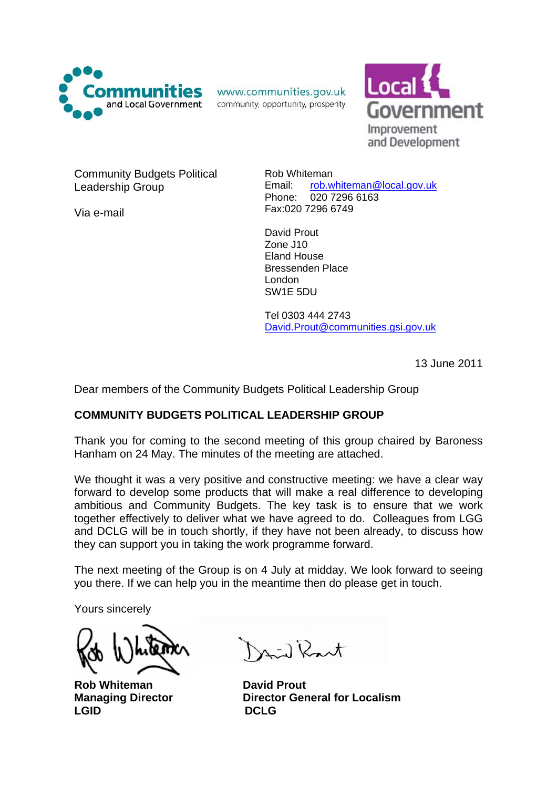

www.communities.gov.uk

community, opportunity, prosperity



Community Budgets Political Leadership Group

Via e-mail

Rob Whiteman Email: [rob.whiteman@local.gov.uk](mailto:Rob.Whiteman@local.gov.uk) Phone: 020 7296 6163 Fax:020 7296 6749

David Prout Zone J10 Eland House Bressenden Place London SW1E 5DU

Tel 0303 444 2743 [David.Prout@communities.gsi.gov.uk](mailto:David.Prout@communities.gsi.gov.uk)

13 June 2011

Dear members of the Community Budgets Political Leadership Group

# **COMMUNITY BUDGETS POLITICAL LEADERSHIP GROUP**

Thank you for coming to the second meeting of this group chaired by Baroness Hanham on 24 May. The minutes of the meeting are attached.

We thought it was a very positive and constructive meeting: we have a clear way forward to develop some products that will make a real difference to developing ambitious and Community Budgets. The key task is to ensure that we work together effectively to deliver what we have agreed to do. Colleagues from LGG and DCLG will be in touch shortly, if they have not been already, to discuss how they can support you in taking the work programme forward.

The next meeting of the Group is on 4 July at midday. We look forward to seeing you there. If we can help you in the meantime then do please get in touch.

Yours sincerely

**Rob Whiteman Communisty David Prout** LGID DCLG

 $N_1, N_2$ 

**Managing Director Director General for Localism**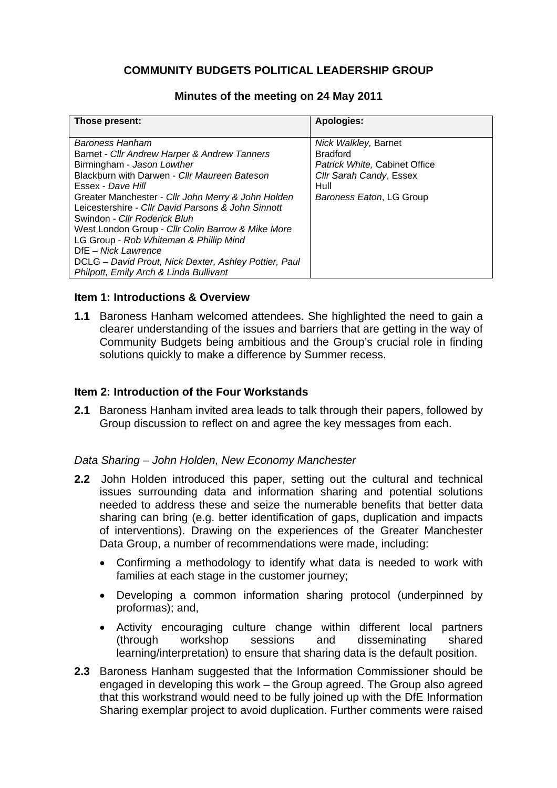# **COMMUNITY BUDGETS POLITICAL LEADERSHIP GROUP**

## **Minutes of the meeting on 24 May 2011**

| Those present:                                        | <b>Apologies:</b>             |
|-------------------------------------------------------|-------------------------------|
|                                                       |                               |
| Baroness Hanham                                       | Nick Walkley, Barnet          |
| Barnet - Cllr Andrew Harper & Andrew Tanners          | <b>Bradford</b>               |
| Birmingham - Jason Lowther                            | Patrick White, Cabinet Office |
| Blackburn with Darwen - Cllr Maureen Bateson          | Cllr Sarah Candy, Essex       |
| Essex - Dave Hill                                     | Hull                          |
| Greater Manchester - Cllr John Merry & John Holden    | Baroness Eaton, LG Group      |
| Leicestershire - Cllr David Parsons & John Sinnott    |                               |
| Swindon - Cllr Roderick Bluh                          |                               |
| West London Group - Cllr Colin Barrow & Mike More     |                               |
| LG Group - Rob Whiteman & Phillip Mind                |                               |
| DfE - Nick Lawrence                                   |                               |
| DCLG - David Prout, Nick Dexter, Ashley Pottier, Paul |                               |
| Philpott, Emily Arch & Linda Bullivant                |                               |

## **Item 1: Introductions & Overview**

**1.1** Baroness Hanham welcomed attendees. She highlighted the need to gain a clearer understanding of the issues and barriers that are getting in the way of Community Budgets being ambitious and the Group's crucial role in finding solutions quickly to make a difference by Summer recess.

# **Item 2: Introduction of the Four Workstands**

**2.1** Baroness Hanham invited area leads to talk through their papers, followed by Group discussion to reflect on and agree the key messages from each.

#### *Data Sharing – John Holden, New Economy Manchester*

- **2.2** John Holden introduced this paper, setting out the cultural and technical issues surrounding data and information sharing and potential solutions needed to address these and seize the numerable benefits that better data sharing can bring (e.g. better identification of gaps, duplication and impacts of interventions). Drawing on the experiences of the Greater Manchester Data Group, a number of recommendations were made, including:
	- Confirming a methodology to identify what data is needed to work with families at each stage in the customer journey;
	- Developing a common information sharing protocol (underpinned by proformas); and,
	- Activity encouraging culture change within different local partners (through workshop sessions and disseminating shared learning/interpretation) to ensure that sharing data is the default position.
- **2.3** Baroness Hanham suggested that the Information Commissioner should be engaged in developing this work – the Group agreed. The Group also agreed that this workstrand would need to be fully joined up with the DfE Information Sharing exemplar project to avoid duplication. Further comments were raised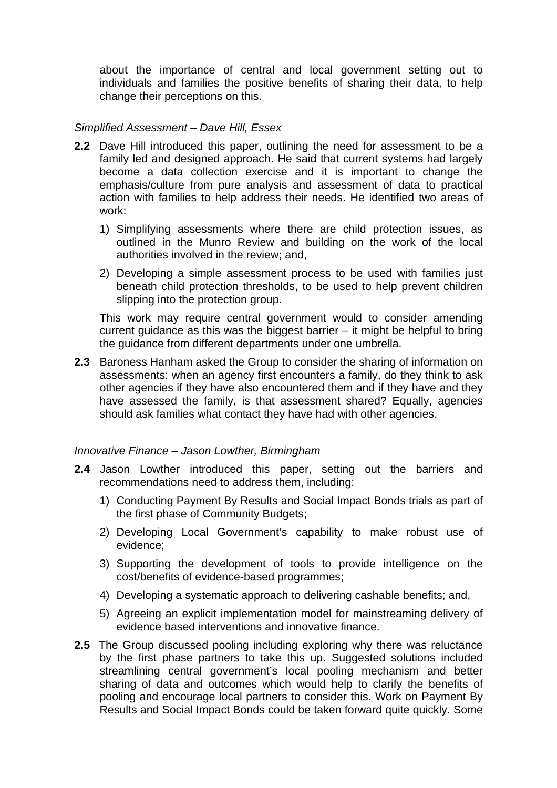about the importance of central and local government setting out to individuals and families the positive benefits of sharing their data, to help change their perceptions on this.

## *Simplified Assessment – Dave Hill, Essex*

- **2.2** Dave Hill introduced this paper, outlining the need for assessment to be a family led and designed approach. He said that current systems had largely become a data collection exercise and it is important to change the emphasis/culture from pure analysis and assessment of data to practical action with families to help address their needs. He identified two areas of work:
	- 1) Simplifying assessments where there are child protection issues, as outlined in the Munro Review and building on the work of the local authorities involved in the review; and,
	- 2) Developing a simple assessment process to be used with families just beneath child protection thresholds, to be used to help prevent children slipping into the protection group.

This work may require central government would to consider amending current guidance as this was the biggest barrier – it might be helpful to bring the guidance from different departments under one umbrella.

**2.3** Baroness Hanham asked the Group to consider the sharing of information on assessments: when an agency first encounters a family, do they think to ask other agencies if they have also encountered them and if they have and they have assessed the family, is that assessment shared? Equally, agencies should ask families what contact they have had with other agencies.

## *Innovative Finance – Jason Lowther, Birmingham*

- **2.4** Jason Lowther introduced this paper, setting out the barriers and recommendations need to address them, including:
	- 1) Conducting Payment By Results and Social Impact Bonds trials as part of the first phase of Community Budgets;
	- 2) Developing Local Government's capability to make robust use of evidence;
	- 3) Supporting the development of tools to provide intelligence on the cost/benefits of evidence-based programmes;
	- 4) Developing a systematic approach to delivering cashable benefits; and,
	- 5) Agreeing an explicit implementation model for mainstreaming delivery of evidence based interventions and innovative finance.
- **2.5** The Group discussed pooling including exploring why there was reluctance by the first phase partners to take this up. Suggested solutions included streamlining central government's local pooling mechanism and better sharing of data and outcomes which would help to clarify the benefits of pooling and encourage local partners to consider this. Work on Payment By Results and Social Impact Bonds could be taken forward quite quickly. Some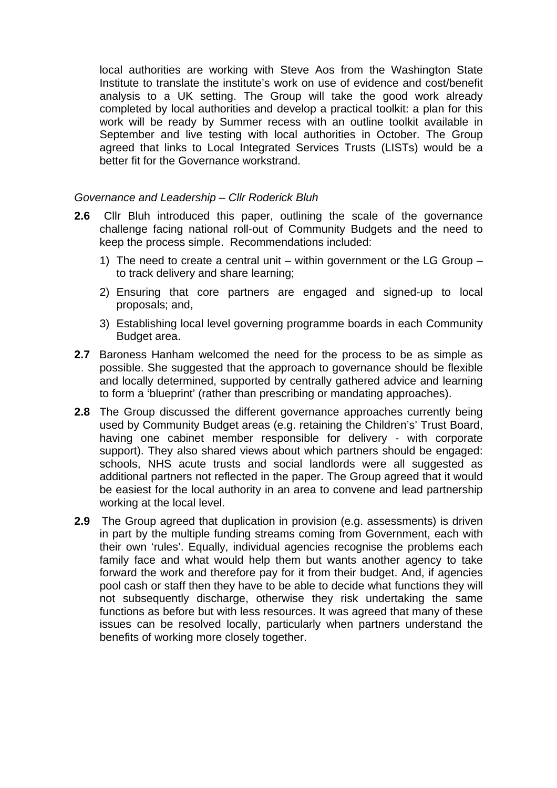local authorities are working with Steve Aos from the Washington State Institute to translate the institute's work on use of evidence and cost/benefit analysis to a UK setting. The Group will take the good work already completed by local authorities and develop a practical toolkit: a plan for this work will be ready by Summer recess with an outline toolkit available in September and live testing with local authorities in October. The Group agreed that links to Local Integrated Services Trusts (LISTs) would be a better fit for the Governance workstrand.

# *Governance and Leadership – Cllr Roderick Bluh*

- **2.6** Cllr Bluh introduced this paper, outlining the scale of the governance challenge facing national roll-out of Community Budgets and the need to keep the process simple. Recommendations included:
	- 1) The need to create a central unit within government or the LG Group to track delivery and share learning;
	- 2) Ensuring that core partners are engaged and signed-up to local proposals; and,
	- 3) Establishing local level governing programme boards in each Community Budget area.
- **2.7** Baroness Hanham welcomed the need for the process to be as simple as possible. She suggested that the approach to governance should be flexible and locally determined, supported by centrally gathered advice and learning to form a 'blueprint' (rather than prescribing or mandating approaches).
- **2.8** The Group discussed the different governance approaches currently being used by Community Budget areas (e.g. retaining the Children's' Trust Board, having one cabinet member responsible for delivery - with corporate support). They also shared views about which partners should be engaged: schools, NHS acute trusts and social landlords were all suggested as additional partners not reflected in the paper. The Group agreed that it would be easiest for the local authority in an area to convene and lead partnership working at the local level.
- **2.9** The Group agreed that duplication in provision (e.g. assessments) is driven in part by the multiple funding streams coming from Government, each with their own 'rules'. Equally, individual agencies recognise the problems each family face and what would help them but wants another agency to take forward the work and therefore pay for it from their budget. And, if agencies pool cash or staff then they have to be able to decide what functions they will not subsequently discharge, otherwise they risk undertaking the same functions as before but with less resources. It was agreed that many of these issues can be resolved locally, particularly when partners understand the benefits of working more closely together.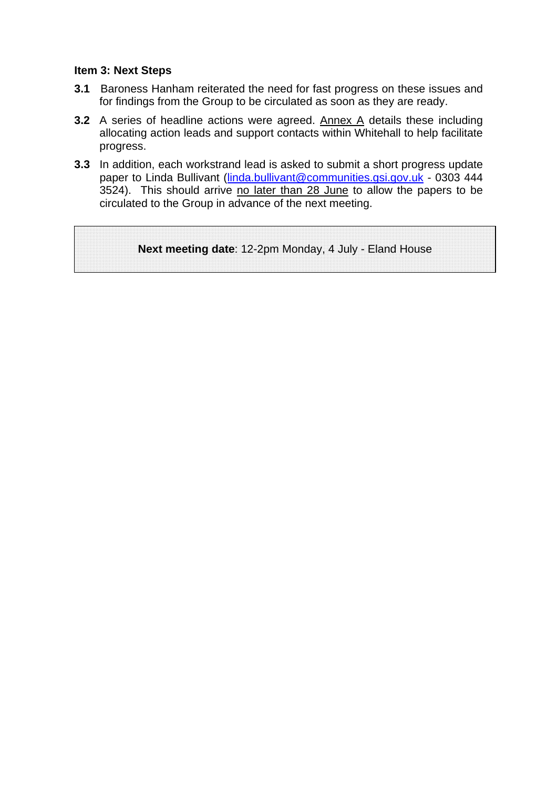## **Item 3: Next Steps**

- **3.1** Baroness Hanham reiterated the need for fast progress on these issues and for findings from the Group to be circulated as soon as they are ready.
- **3.2** A series of headline actions were agreed. Annex A details these including allocating action leads and support contacts within Whitehall to help facilitate progress.
- **3.3** In addition, each workstrand lead is asked to submit a short progress update paper to Linda Bullivant ([linda.bullivant@communities.gsi.gov.uk](mailto:linda.bullivant@communities.gsi.gov.uk) - 0303 444 3524). This should arrive no later than 28 June to allow the papers to be circulated to the Group in advance of the next meeting.

**Next meeting date**: 12-2pm Monday, 4 July - Eland House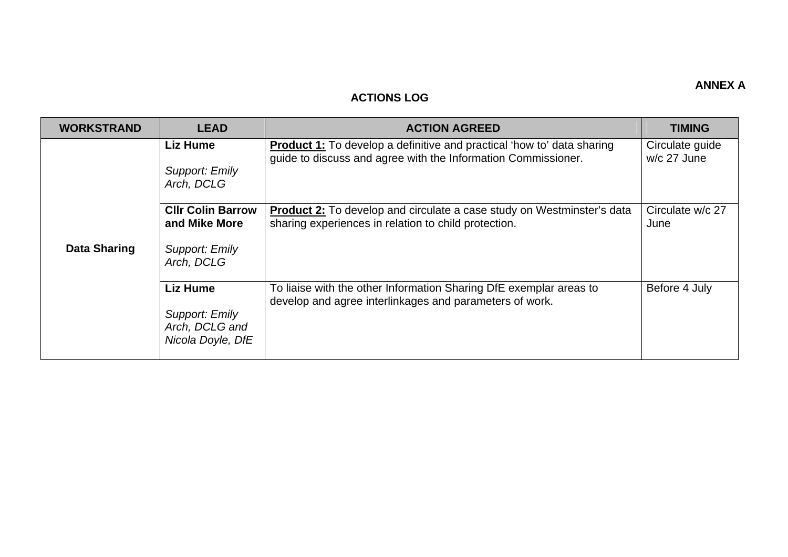#### **ANNEX A**

#### **ACTIONS LOG**

| <b>WORKSTRAND</b>   | <b>LEAD</b>                                                               | <b>ACTION AGREED</b>                                                                                                                           | <b>TIMING</b>                  |
|---------------------|---------------------------------------------------------------------------|------------------------------------------------------------------------------------------------------------------------------------------------|--------------------------------|
| <b>Data Sharing</b> | <b>Liz Hume</b><br>Support: Emily<br>Arch, DCLG                           | <b>Product 1:</b> To develop a definitive and practical 'how to' data sharing<br>guide to discuss and agree with the Information Commissioner. | Circulate guide<br>w/c 27 June |
|                     | <b>CIIr Colin Barrow</b><br>and Mike More<br>Support: Emily<br>Arch, DCLG | <b>Product 2:</b> To develop and circulate a case study on Westminster's data<br>sharing experiences in relation to child protection.          | Circulate w/c 27<br>June       |
|                     | <b>Liz Hume</b><br>Support: Emily<br>Arch, DCLG and<br>Nicola Doyle, DfE  | To liaise with the other Information Sharing DfE exemplar areas to<br>develop and agree interlinkages and parameters of work.                  | Before 4 July                  |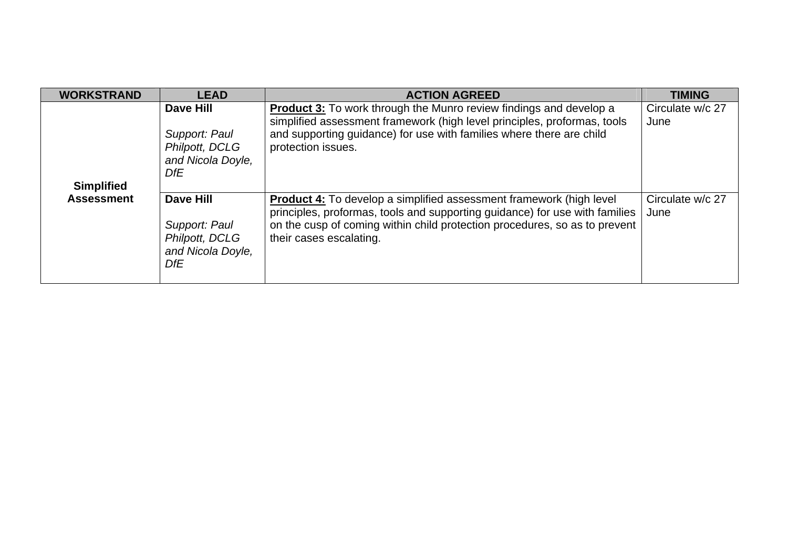| <b>WORKSTRAND</b>                      | <b>LEAD</b>                                                                            | <b>ACTION AGREED</b>                                                                                                                                                                                                                                               | <b>TIMING</b>            |
|----------------------------------------|----------------------------------------------------------------------------------------|--------------------------------------------------------------------------------------------------------------------------------------------------------------------------------------------------------------------------------------------------------------------|--------------------------|
| <b>Simplified</b><br><b>Assessment</b> | Dave Hill<br>Support: Paul<br>Philpott, DCLG<br>and Nicola Doyle,<br>DfE               | <b>Product 3:</b> To work through the Munro review findings and develop a<br>simplified assessment framework (high level principles, proformas, tools<br>and supporting guidance) for use with families where there are child<br>protection issues.                | Circulate w/c 27<br>June |
|                                        | <b>Dave Hill</b><br>Support: Paul<br>Philpott, DCLG<br>and Nicola Doyle,<br><b>DfE</b> | <b>Product 4:</b> To develop a simplified assessment framework (high level<br>principles, proformas, tools and supporting guidance) for use with families<br>on the cusp of coming within child protection procedures, so as to prevent<br>their cases escalating. | Circulate w/c 27<br>June |